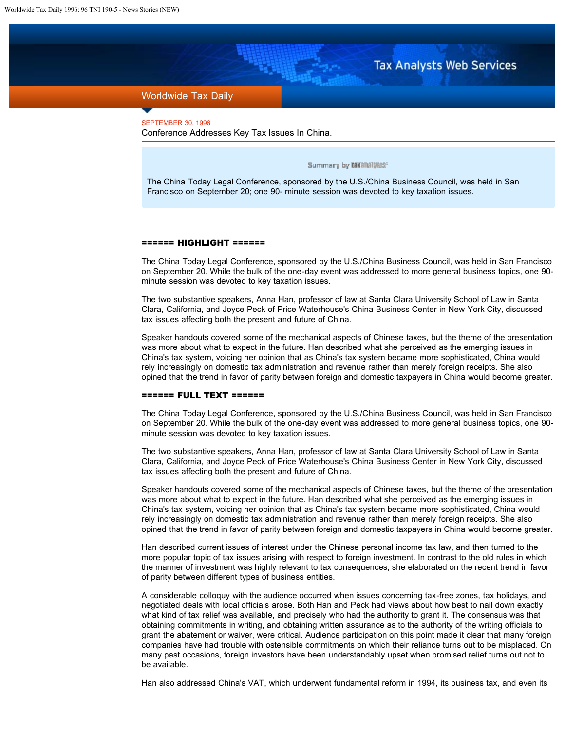## **Tax Analysts Web Services**

## Worldwide Tax Daily

SEPTEMBER 30, 1996 Conference Addresses Key Tax Issues In China.

Summary by taxanalysts®

The China Today Legal Conference, sponsored by the U.S./China Business Council, was held in San Francisco on September 20; one 90- minute session was devoted to key taxation issues.

## ====== HIGHLIGHT ======

The China Today Legal Conference, sponsored by the U.S./China Business Council, was held in San Francisco on September 20. While the bulk of the one-day event was addressed to more general business topics, one 90 minute session was devoted to key taxation issues.

The two substantive speakers, Anna Han, professor of law at Santa Clara University School of Law in Santa Clara, California, and Joyce Peck of Price Waterhouse's China Business Center in New York City, discussed tax issues affecting both the present and future of China.

Speaker handouts covered some of the mechanical aspects of Chinese taxes, but the theme of the presentation was more about what to expect in the future. Han described what she perceived as the emerging issues in China's tax system, voicing her opinion that as China's tax system became more sophisticated, China would rely increasingly on domestic tax administration and revenue rather than merely foreign receipts. She also opined that the trend in favor of parity between foreign and domestic taxpayers in China would become greater.

## ====== FULL TEXT ======

The China Today Legal Conference, sponsored by the U.S./China Business Council, was held in San Francisco on September 20. While the bulk of the one-day event was addressed to more general business topics, one 90 minute session was devoted to key taxation issues.

The two substantive speakers, Anna Han, professor of law at Santa Clara University School of Law in Santa Clara, California, and Joyce Peck of Price Waterhouse's China Business Center in New York City, discussed tax issues affecting both the present and future of China.

Speaker handouts covered some of the mechanical aspects of Chinese taxes, but the theme of the presentation was more about what to expect in the future. Han described what she perceived as the emerging issues in China's tax system, voicing her opinion that as China's tax system became more sophisticated, China would rely increasingly on domestic tax administration and revenue rather than merely foreign receipts. She also opined that the trend in favor of parity between foreign and domestic taxpayers in China would become greater.

Han described current issues of interest under the Chinese personal income tax law, and then turned to the more popular topic of tax issues arising with respect to foreign investment. In contrast to the old rules in which the manner of investment was highly relevant to tax consequences, she elaborated on the recent trend in favor of parity between different types of business entities.

A considerable colloquy with the audience occurred when issues concerning tax-free zones, tax holidays, and negotiated deals with local officials arose. Both Han and Peck had views about how best to nail down exactly what kind of tax relief was available, and precisely who had the authority to grant it. The consensus was that obtaining commitments in writing, and obtaining written assurance as to the authority of the writing officials to grant the abatement or waiver, were critical. Audience participation on this point made it clear that many foreign companies have had trouble with ostensible commitments on which their reliance turns out to be misplaced. On many past occasions, foreign investors have been understandably upset when promised relief turns out not to be available.

Han also addressed China's VAT, which underwent fundamental reform in 1994, its business tax, and even its